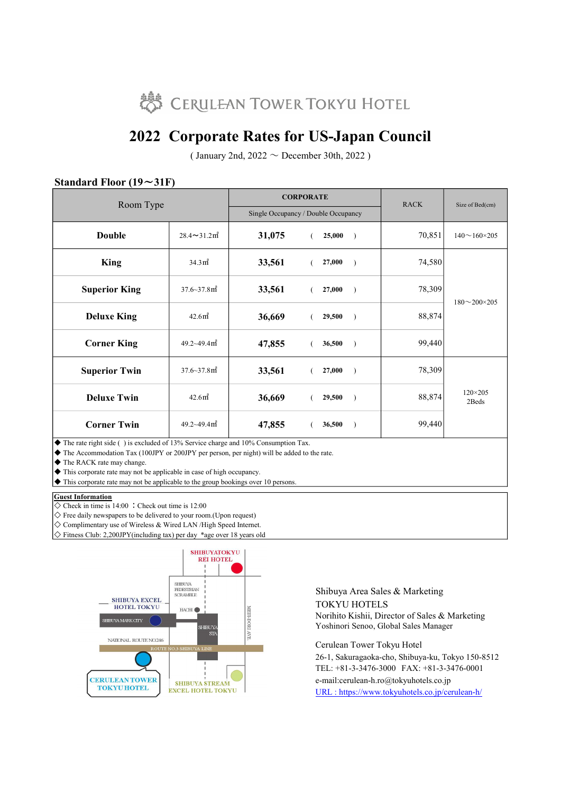

## 2022 Corporate Rates for US-Japan Council

( January 2nd,  $2022 \sim$  December 30th, 2022)

| $v$ and $u \cdot u$ is to $v \cdot u$<br>$\ddotsc$<br>Room Type |                                |        | <b>CORPORATE</b>                    | <b>RACK</b> | Size of Bed(cm)           |
|-----------------------------------------------------------------|--------------------------------|--------|-------------------------------------|-------------|---------------------------|
|                                                                 |                                |        | Single Occupancy / Double Occupancy |             |                           |
| <b>Double</b>                                                   | $28.4 \sim 31.2 \text{ m}^2$   | 31,075 | 25,000<br>$\rightarrow$             | 70,851      | $140 \sim 160 \times 205$ |
| <b>King</b>                                                     | 34.3 <sup>nd</sup>             | 33,561 | 27,000<br>$\rightarrow$             | 74,580      | $180 - 200 \times 205$    |
| <b>Superior King</b>                                            | $37.6 - 37.8$ m <sup>2</sup>   | 33,561 | 27,000<br>$\rightarrow$             | 78,309      |                           |
| <b>Deluxe King</b>                                              | 42.6 <sup>nd</sup>             | 36,669 | 29,500<br>$\rightarrow$             | 88,874      |                           |
| <b>Corner King</b>                                              | $49.2 \times 49.4 \text{ m}^2$ | 47,855 | 36,500<br>$\rightarrow$             | 99,440      |                           |
| <b>Superior Twin</b>                                            | $37.6 - 37.8$ m <sup>2</sup>   | 33,561 | 27,000<br>$\rightarrow$             | 78,309      |                           |
| <b>Deluxe Twin</b>                                              | 42.6 <sup>2</sup>              | 36,669 | 29,500<br>$\rightarrow$             | 88,874      | $120 \times 205$<br>2Beds |
| <b>Corner Twin</b>                                              | $49.2 \sim 49.4 \,\text{m}^2$  | 47,855 | 36,500<br>$\rightarrow$             | 99,440      |                           |

### Standard Floor  $(19 \sim 31)$ F)

◆ The rate right side () is excluded of 13% Service charge and 10% Consumption Tax.

◆ The Accommodation Tax (100JPY or 200JPY per person, per night) will be added to the rate.

◆ The RACK rate may change.

◆ This corporate rate may not be applicable in case of high occupancy.

◆ This corporate rate may not be applicable to the group bookings over 10 persons.

#### **Guest Information**

 $\overline{\diamond}$  Check in time is 14:00 : Check out time is 12:00

 $\diamondsuit$  Free daily newspapers to be delivered to your room. (Upon request)

- ◇ Complimentary use of Wireless & Wired LAN /High Speed Internet.
- ◇ Fitness Club: 2,200JPY(including tax) per day \*age over 18 years old



Shibuya Area Sales & Marketing TOKYU HOTELS Norihito Kishii, Director of Sales & Marketing Yoshinori Senoo, Global Sales Manager

e-mail:cerulean-h.ro@tokyuhotels.co.jp URL : https://www.tokyuhotels.co.jp/cerulean-h/ Cerulean Tower Tokyu Hotel 26-1, Sakuragaoka-cho, Shibuya-ku, Tokyo 150-8512 TEL: +81-3-3476-3000 FAX: +81-3-3476-0001